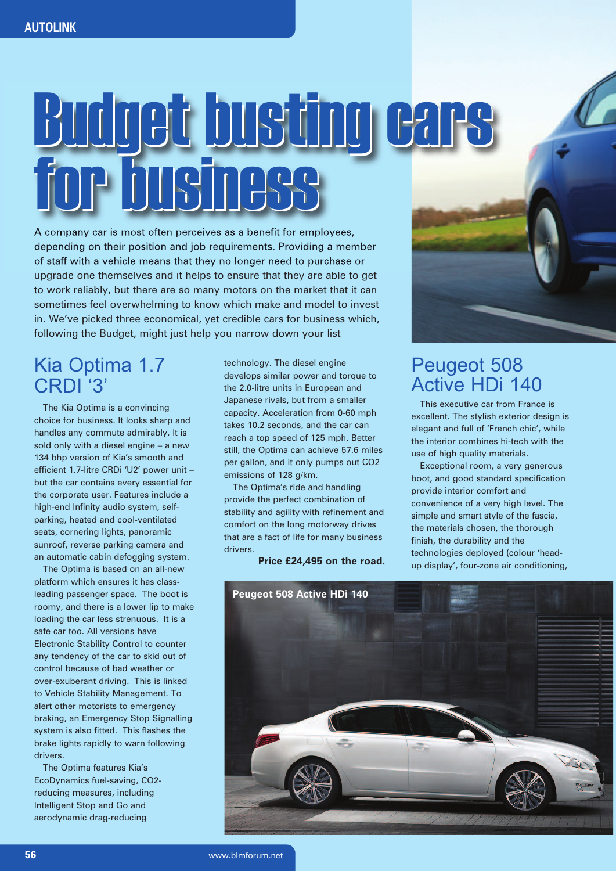## Budget busting cars Budget busting cars for business for business

A company car is most often perceives as a benefit for employees, depending on their position and job requirements. Providing a member of staff with a vehicle means that they no longer need to purchase or upgrade one themselves and it helps to ensure that they are able to get to work reliably, but there are so many motors on the market that it can sometimes feel overwhelming to know which make and model to invest in. We've picked three economical, yet credible cars for business which, following the Budget, might just help you narrow down your list

## Kia Optima 1.7 CRDI '3'

The Kia Optima is a convincing choice for business. It looks sharp and handles any commute admirably. It is sold only with a diesel engine – a new 134 bhp version of Kia's smooth and efficient 1.7-litre CRDi 'U2' power unit – but the car contains every essential for the corporate user. Features include a high-end Infinity audio system, selfparking, heated and cool-ventilated seats, cornering lights, panoramic sunroof, reverse parking camera and an automatic cabin defogging system.

The Optima is based on an all-new platform which ensures it has classleading passenger space. The boot is roomy, and there is a lower lip to make loading the car less strenuous. It is a safe car too. All versions have Electronic Stability Control to counter any tendency of the car to skid out of control because of bad weather or over-exuberant driving. This is linked to Vehicle Stability Management. To alert other motorists to emergency braking, an Emergency Stop Signalling system is also fitted. This flashes the brake lights rapidly to warn following drivers.

The Optima features Kia's EcoDynamics fuel-saving, CO2 reducing measures, including Intelligent Stop and Go and aerodynamic drag-reducing

technology. The diesel engine develops similar power and torque to the 2.0-litre units in European and Japanese rivals, but from a smaller capacity. Acceleration from 0-60 mph takes 10.2 seconds, and the car can reach a top speed of 125 mph. Better still, the Optima can achieve 57.6 miles per gallon, and it only pumps out CO2 emissions of 128 g/km.

The Optima's ride and handling provide the perfect combination of stability and agility with refinement and comfort on the long motorway drives that are a fact of life for many business drivers.

**Price £24,495 on the road.**



## Peugeot 508 Active HDi 140

This executive car from France is excellent. The stylish exterior design is elegant and full of 'French chic', while the interior combines hi-tech with the use of high quality materials.

Exceptional room, a very generous boot, and good standard specification provide interior comfort and convenience of a very high level. The simple and smart style of the fascia, the materials chosen, the thorough finish, the durability and the technologies deployed (colour 'headup display', four-zone air conditioning,